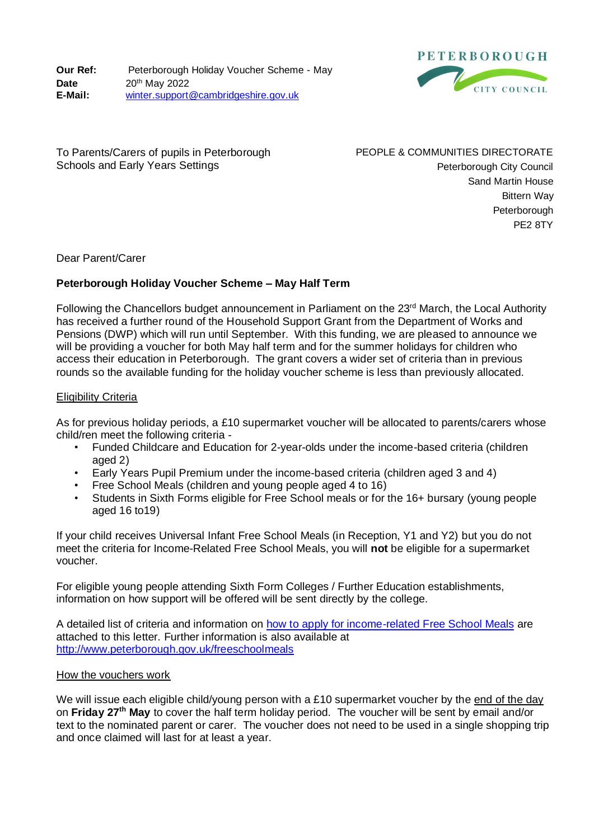**Our Ref:** Peterborough Holiday Voucher Scheme - May **Date E-Mail:** 20th May 2022 [winter.support@cambridgeshire.gov.uk](mailto:winter.support@cambridgeshire.gov.uk)



To Parents/Carers of pupils in Peterborough Schools and Early Years Settings

PEOPLE & COMMUNITIES DIRECTORATE Peterborough City Council Sand Martin House Bittern Way **Peterborough** PE2 8TY

Dear Parent/Carer

# **Peterborough Holiday Voucher Scheme – May Half Term**

Following the Chancellors budget announcement in Parliament on the 23<sup>rd</sup> March, the Local Authority has received a further round of the Household Support Grant from the Department of Works and Pensions (DWP) which will run until September. With this funding, we are pleased to announce we will be providing a voucher for both May half term and for the summer holidays for children who access their education in Peterborough. The grant covers a wider set of criteria than in previous rounds so the available funding for the holiday voucher scheme is less than previously allocated.

### Eligibility Criteria

As for previous holiday periods, a £10 supermarket voucher will be allocated to parents/carers whose child/ren meet the following criteria -

- Funded Childcare and Education for 2-year-olds under the income-based criteria (children aged 2)
- Early Years Pupil Premium under the income-based criteria (children aged 3 and 4)
- Free School Meals (children and young people aged 4 to 16)
- Students in Sixth Forms eligible for Free School meals or for the 16+ bursary (young people aged 16 to19)

If your child receives Universal Infant Free School Meals (in Reception, Y1 and Y2) but you do not meet the criteria for Income-Related Free School Meals, you will **not** be eligible for a supermarket voucher.

For eligible young people attending Sixth Form Colleges / Further Education establishments, information on how support will be offered will be sent directly by the college.

A detailed list of criteria and information on how to [apply for income-related Free School Meals](http://www.cambridgeshire.gov.uk/freeschoolmeals/) are attached to this letter. Further information is also available at <http://www.peterborough.gov.uk/freeschoolmeals>

#### How the vouchers work

We will issue each eligible child/young person with a £10 supermarket voucher by the end of the day on **Friday 27th May** to cover the half term holiday period. The voucher will be sent by email and/or text to the nominated parent or carer. The voucher does not need to be used in a single shopping trip and once claimed will last for at least a year.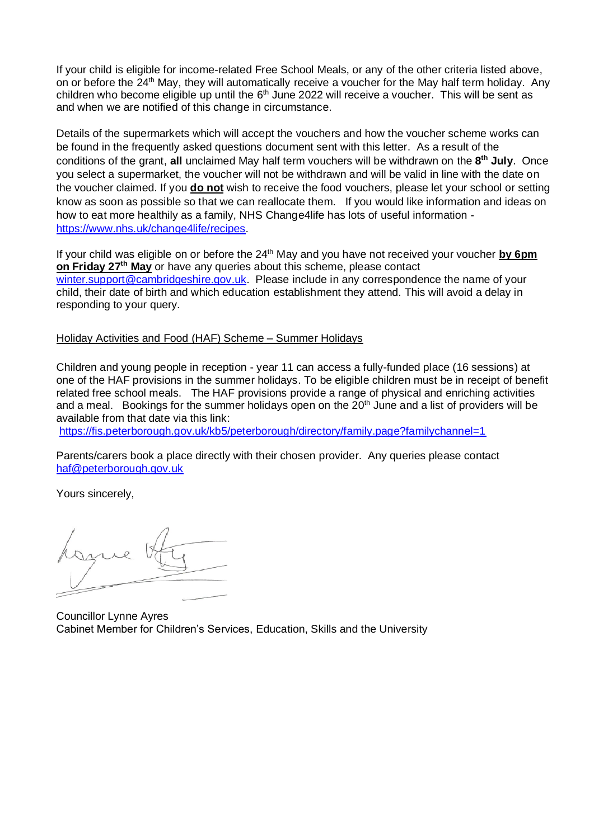If your child is eligible for income-related Free School Meals, or any of the other criteria listed above, on or before the 24<sup>th</sup> May, they will automatically receive a voucher for the May half term holiday. Any children who become eligible up until the 6<sup>th</sup> June 2022 will receive a voucher. This will be sent as and when we are notified of this change in circumstance.

Details of the supermarkets which will accept the vouchers and how the voucher scheme works can be found in the frequently asked questions document sent with this letter. As a result of the conditions of the grant, **all** unclaimed May half term vouchers will be withdrawn on the **8 th July**. Once you select a supermarket, the voucher will not be withdrawn and will be valid in line with the date on the voucher claimed. If you **do not** wish to receive the food vouchers, please let your school or setting know as soon as possible so that we can reallocate them. If you would like information and ideas on how to eat more healthily as a family, NHS Change4life has lots of useful information [https://www.nhs.uk/change4life/recipes.](https://www.nhs.uk/change4life/recipes)

If your child was eligible on or before the 24<sup>th</sup> May and you have not received your voucher by 6pm **on Friday 27th May** or have any queries about this scheme, please contact [winter.support@cambridgeshire.gov.uk.](mailto:winter.support@cambridgeshire.gov.uk) Please include in any correspondence the name of your child, their date of birth and which education establishment they attend. This will avoid a delay in responding to your query.

### Holiday Activities and Food (HAF) Scheme – Summer Holidays

Children and young people in reception - year 11 can access a fully-funded place (16 sessions) at one of the HAF provisions in the summer holidays. To be eligible children must be in receipt of benefit related free school meals. The HAF provisions provide a range of physical and enriching activities and a meal. Bookings for the summer holidays open on the 20<sup>th</sup> June and a list of providers will be available from that date via this link:

<https://fis.peterborough.gov.uk/kb5/peterborough/directory/family.page?familychannel=1>

Parents/carers book a place directly with their chosen provider. Any queries please contact [haf@peterborough.gov.uk](mailto:haf@peterborough.gov.uk)

Yours sincerely,

Councillor Lynne Ayres Cabinet Member for Children's Services, Education, Skills and the University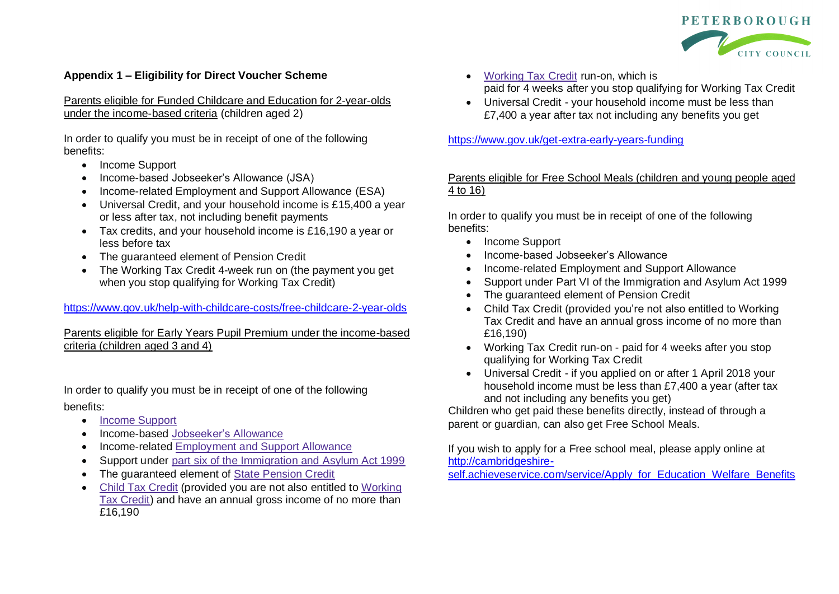

### **Appendix 1 – Eligibility for Direct Voucher Scheme**

Parents eligible for Funded Childcare and Education for 2-year-olds under the income-based criteria (children aged 2)

In order to qualify you must be in receipt of one of the following benefits:

- Income Support
- Income-based Jobseeker's Allowance (JSA)
- Income-related Employment and Support Allowance (ESA)
- Universal Credit, and your household income is £15,400 a year or less after tax, not including benefit payments
- Tax credits, and your household income is £16,190 a year or less before tax
- The guaranteed element of Pension Credit
- The Working Tax Credit 4-week run on (the payment you get when you stop qualifying for Working Tax Credit)

### <https://www.gov.uk/help-with-childcare-costs/free-childcare-2-year-olds>

## Parents eligible for Early Years Pupil Premium under the income-based criteria (children aged 3 and 4)

In order to qualify you must be in receipt of one of the following

### benefits:

- Income [Support](https://www.gov.uk/income-support)
- Income-based [Jobseeker's](https://www.gov.uk/jobseekers-allowance) Allowance
- Income-related [Employment](https://www.gov.uk/employment-support-allowance) and Support Allowance
- Support under part six of the [Immigration](http://www.legislation.gov.uk/ukpga/1999/33/part/VI) and Asylum Act 1999
- The quaranteed element of State [Pension](https://www.gov.uk/pension-credit) Credit
- Child Tax [Credit](https://www.gov.uk/child-tax-credit) (provided you are not also entitled to [Working](https://www.gov.uk/working-tax-credit) Tax [Credit\)](https://www.gov.uk/working-tax-credit) and have an annual gross income of no more than £16,190
- [Working](https://www.gov.uk/working-tax-credit) Tax Credit run-on, which is paid for 4 weeks after you stop qualifying for Working Tax Credit
- Universal Credit your household income must be less than £7,400 a year after tax not including any benefits you get

<https://www.gov.uk/get-extra-early-years-funding>

## Parents eligible for Free School Meals (children and young people aged 4 to 16)

In order to qualify you must be in receipt of one of the following benefits:

- Income Support
- Income-based Jobseeker's Allowance
- Income-related Employment and Support Allowance
- Support under Part VI of the Immigration and Asylum Act 1999
- The guaranteed element of Pension Credit
- Child Tax Credit (provided you're not also entitled to Working Tax Credit and have an annual gross income of no more than £16,190)
- Working Tax Credit run-on paid for 4 weeks after you stop qualifying for Working Tax Credit
- Universal Credit if you applied on or after 1 April 2018 your household income must be less than £7,400 a year (after tax and not including any benefits you get)

Children who get paid these benefits directly, instead of through a parent or guardian, can also get Free School Meals.

If you wish to apply for a Free school meal, please apply online at [http://cambridgeshire-](http://cambridgeshire-self.achieveservice.com/service/Apply_for_Education_Welfare_Benefits)

[self.achieveservice.com/service/Apply\\_for\\_Education\\_Welfare\\_Benefits](http://cambridgeshire-self.achieveservice.com/service/Apply_for_Education_Welfare_Benefits)